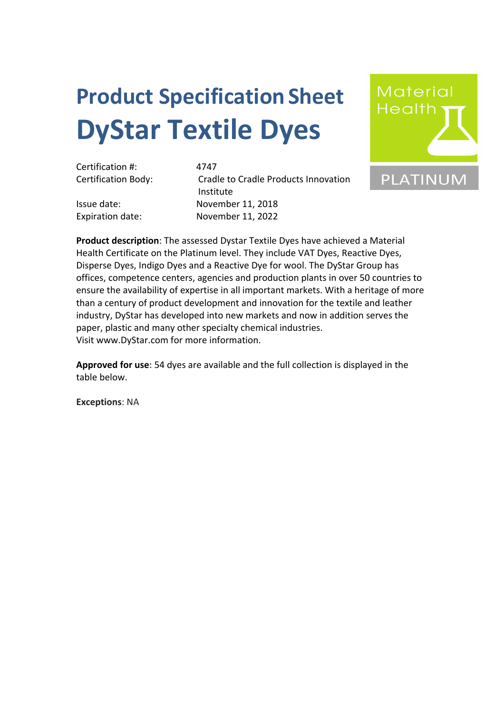## **Product SpecificationSheet DyStar Textile Dyes**



Certification Body: Cradle to Cradle Products Innovation Institute Issue date: November 11, 2018 Expiration date: November 11, 2022



**Product description**: The assessed Dystar Textile Dyes have achieved a Material Health Certificate on the Platinum level. They include VAT Dyes, Reactive Dyes, Disperse Dyes, Indigo Dyes and a Reactive Dye for wool. The DyStar Group has offices, competence centers, agencies and production plants in over 50 countries to ensure the availability of expertise in all important markets. With a heritage of more than a century of product development and innovation for the textile and leather industry, DyStar has developed into new markets and now in addition serves the paper, plastic and many other specialty chemical industries. Visit www.DyStar.com for more information.

**Approved for use**: 54 dyes are available and the full collection is displayed in the table below.

**Exceptions**: NA